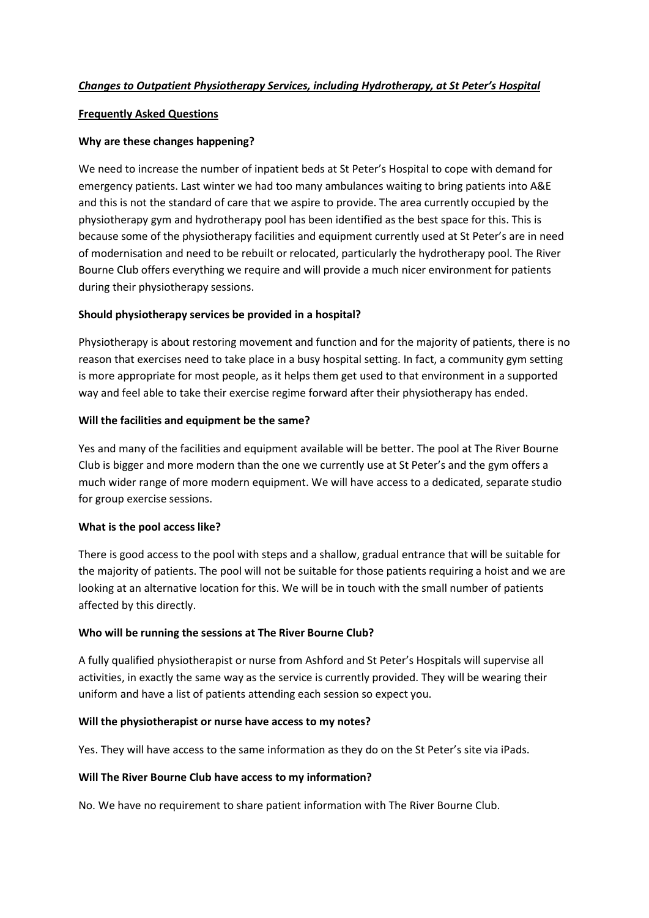## Changes to Outpatient Physiotherapy Services, including Hydrotherapy, at St Peter's Hospital

### Frequently Asked Questions

## Why are these changes happening?

We need to increase the number of inpatient beds at St Peter's Hospital to cope with demand for emergency patients. Last winter we had too many ambulances waiting to bring patients into A&E and this is not the standard of care that we aspire to provide. The area currently occupied by the physiotherapy gym and hydrotherapy pool has been identified as the best space for this. This is because some of the physiotherapy facilities and equipment currently used at St Peter's are in need of modernisation and need to be rebuilt or relocated, particularly the hydrotherapy pool. The River Bourne Club offers everything we require and will provide a much nicer environment for patients during their physiotherapy sessions.

## Should physiotherapy services be provided in a hospital?

Physiotherapy is about restoring movement and function and for the majority of patients, there is no reason that exercises need to take place in a busy hospital setting. In fact, a community gym setting is more appropriate for most people, as it helps them get used to that environment in a supported way and feel able to take their exercise regime forward after their physiotherapy has ended.

## Will the facilities and equipment be the same?

Yes and many of the facilities and equipment available will be better. The pool at The River Bourne Club is bigger and more modern than the one we currently use at St Peter's and the gym offers a much wider range of more modern equipment. We will have access to a dedicated, separate studio for group exercise sessions.

### What is the pool access like?

There is good access to the pool with steps and a shallow, gradual entrance that will be suitable for the majority of patients. The pool will not be suitable for those patients requiring a hoist and we are looking at an alternative location for this. We will be in touch with the small number of patients affected by this directly.

### Who will be running the sessions at The River Bourne Club?

A fully qualified physiotherapist or nurse from Ashford and St Peter's Hospitals will supervise all activities, in exactly the same way as the service is currently provided. They will be wearing their uniform and have a list of patients attending each session so expect you.

### Will the physiotherapist or nurse have access to my notes?

Yes. They will have access to the same information as they do on the St Peter's site via iPads.

### Will The River Bourne Club have access to my information?

No. We have no requirement to share patient information with The River Bourne Club.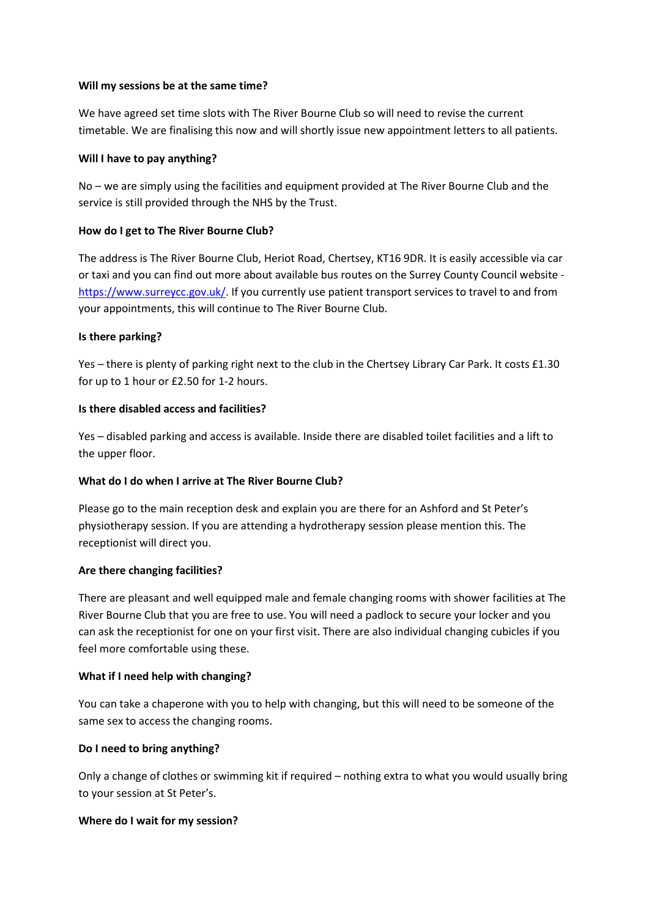#### Will my sessions be at the same time?

We have agreed set time slots with The River Bourne Club so will need to revise the current timetable. We are finalising this now and will shortly issue new appointment letters to all patients.

#### Will I have to pay anything?

No – we are simply using the facilities and equipment provided at The River Bourne Club and the service is still provided through the NHS by the Trust.

### How do I get to The River Bourne Club?

The address is The River Bourne Club, Heriot Road, Chertsey, KT16 9DR. It is easily accessible via car or taxi and you can find out more about available bus routes on the Surrey County Council website https://www.surreycc.gov.uk/. If you currently use patient transport services to travel to and from your appointments, this will continue to The River Bourne Club.

### Is there parking?

Yes – there is plenty of parking right next to the club in the Chertsey Library Car Park. It costs £1.30 for up to 1 hour or £2.50 for 1-2 hours.

### Is there disabled access and facilities?

Yes – disabled parking and access is available. Inside there are disabled toilet facilities and a lift to the upper floor.

# What do I do when I arrive at The River Bourne Club?

Please go to the main reception desk and explain you are there for an Ashford and St Peter's physiotherapy session. If you are attending a hydrotherapy session please mention this. The receptionist will direct you.

### Are there changing facilities?

There are pleasant and well equipped male and female changing rooms with shower facilities at The River Bourne Club that you are free to use. You will need a padlock to secure your locker and you can ask the receptionist for one on your first visit. There are also individual changing cubicles if you feel more comfortable using these.

### What if I need help with changing?

You can take a chaperone with you to help with changing, but this will need to be someone of the same sex to access the changing rooms.

# Do I need to bring anything?

Only a change of clothes or swimming kit if required – nothing extra to what you would usually bring to your session at St Peter's.

### Where do I wait for my session?